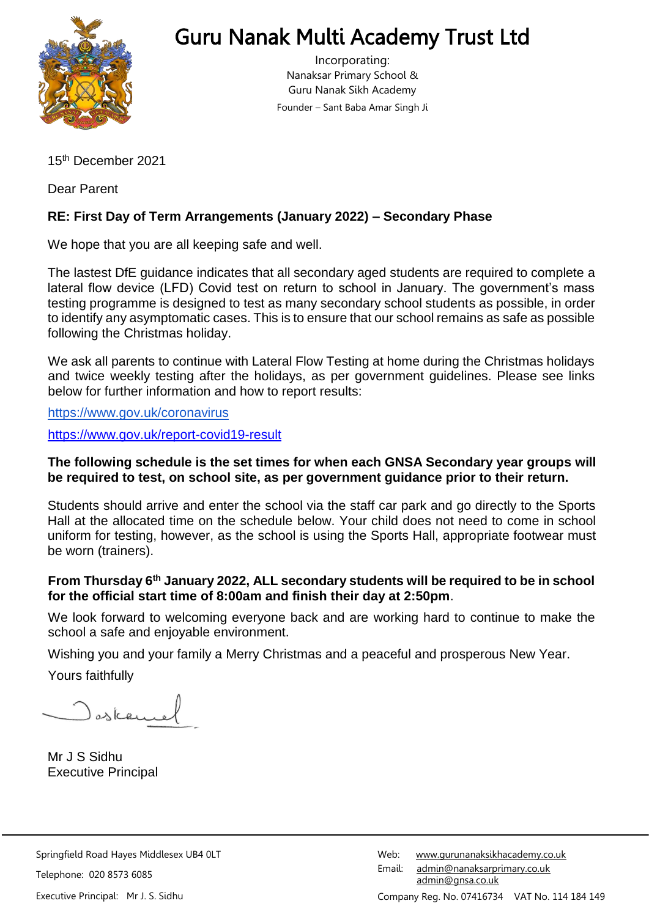

## Guru Nanak Multi Academy Trust Ltd

Incorporating: Nanaksar Primary School & Guru Nanak Sikh Academy Founder – Sant Baba Amar Singh Ji

15 th December 2021

Dear Parent

## **RE: First Day of Term Arrangements (January 2022) – Secondary Phase**

We hope that you are all keeping safe and well.

The lastest DfE guidance indicates that all secondary aged students are required to complete a lateral flow device (LFD) Covid test on return to school in January. The government's mass testing programme is designed to test as many secondary school students as possible, in order to identify any asymptomatic cases. This is to ensure that our school remains as safe as possible following the Christmas holiday.

We ask all parents to continue with Lateral Flow Testing at home during the Christmas holidays and twice weekly testing after the holidays, as per government guidelines. Please see links below for further information and how to report results:

<https://www.gov.uk/coronavirus>

<https://www.gov.uk/report-covid19-result>

## **The following schedule is the set times for when each GNSA Secondary year groups will be required to test, on school site, as per government guidance prior to their return.**

Students should arrive and enter the school via the staff car park and go directly to the Sports Hall at the allocated time on the schedule below. Your child does not need to come in school uniform for testing, however, as the school is using the Sports Hall, appropriate footwear must be worn (trainers).

## **From Thursday 6th January 2022, ALL secondary students will be required to be in school for the official start time of 8:00am and finish their day at 2:50pm**.

We look forward to welcoming everyone back and are working hard to continue to make the school a safe and enjoyable environment.

Wishing you and your family a Merry Christmas and a peaceful and prosperous New Year.

Yours faithfully

) askan

Mr J S Sidhu Executive Principal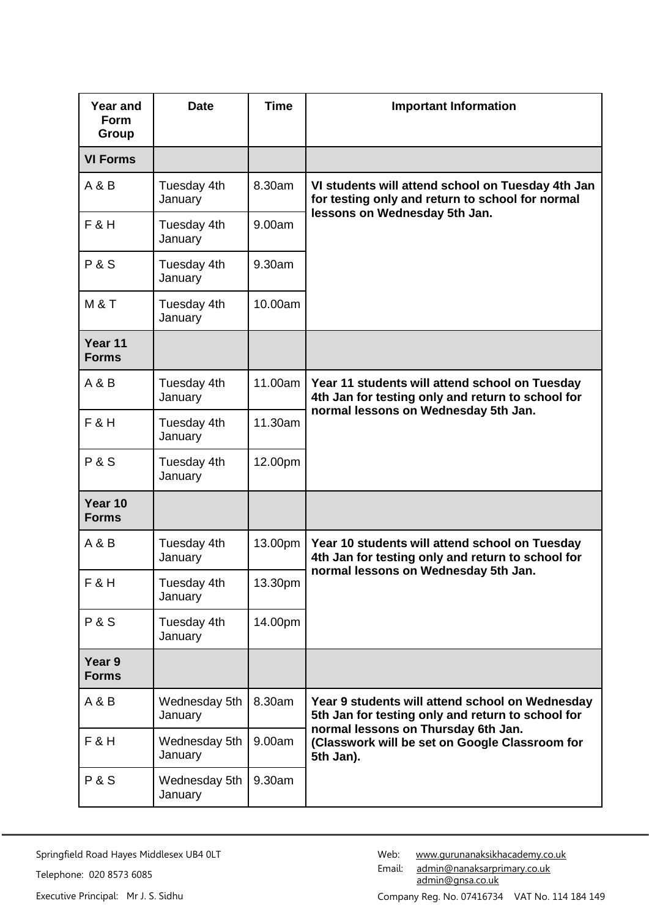| <b>Year and</b><br><b>Form</b><br>Group | <b>Date</b>              | <b>Time</b> | <b>Important Information</b>                                                                                                                                                                               |
|-----------------------------------------|--------------------------|-------------|------------------------------------------------------------------------------------------------------------------------------------------------------------------------------------------------------------|
| <b>VI Forms</b>                         |                          |             |                                                                                                                                                                                                            |
| A & B                                   | Tuesday 4th<br>January   | 8.30am      | VI students will attend school on Tuesday 4th Jan<br>for testing only and return to school for normal<br>lessons on Wednesday 5th Jan.                                                                     |
| $F$ &H                                  | Tuesday 4th<br>January   | 9.00am      |                                                                                                                                                                                                            |
| <b>P&amp;S</b>                          | Tuesday 4th<br>January   | 9.30am      |                                                                                                                                                                                                            |
| <b>M&amp;T</b>                          | Tuesday 4th<br>January   | 10.00am     |                                                                                                                                                                                                            |
| Year 11<br><b>Forms</b>                 |                          |             |                                                                                                                                                                                                            |
| A & B                                   | Tuesday 4th<br>January   | 11.00am     | Year 11 students will attend school on Tuesday<br>4th Jan for testing only and return to school for<br>normal lessons on Wednesday 5th Jan.                                                                |
| $F$ &H                                  | Tuesday 4th<br>January   | 11.30am     |                                                                                                                                                                                                            |
| <b>P&amp;S</b>                          | Tuesday 4th<br>January   | 12.00pm     |                                                                                                                                                                                                            |
| Year 10<br><b>Forms</b>                 |                          |             |                                                                                                                                                                                                            |
| A & B                                   | Tuesday 4th<br>January   | 13.00pm     | Year 10 students will attend school on Tuesday<br>4th Jan for testing only and return to school for<br>normal lessons on Wednesday 5th Jan.                                                                |
| $F$ &H                                  | Tuesday 4th<br>January   | 13.30pm     |                                                                                                                                                                                                            |
| <b>P&amp;S</b>                          | Tuesday 4th<br>January   | 14.00pm     |                                                                                                                                                                                                            |
| Year 9<br><b>Forms</b>                  |                          |             |                                                                                                                                                                                                            |
| A & B                                   | Wednesday 5th<br>January | 8.30am      | Year 9 students will attend school on Wednesday<br>5th Jan for testing only and return to school for<br>normal lessons on Thursday 6th Jan.<br>(Classwork will be set on Google Classroom for<br>5th Jan). |
| <b>F&amp;H</b>                          | Wednesday 5th<br>January | 9.00am      |                                                                                                                                                                                                            |
| <b>P&amp;S</b>                          | Wednesday 5th<br>January | 9.30am      |                                                                                                                                                                                                            |